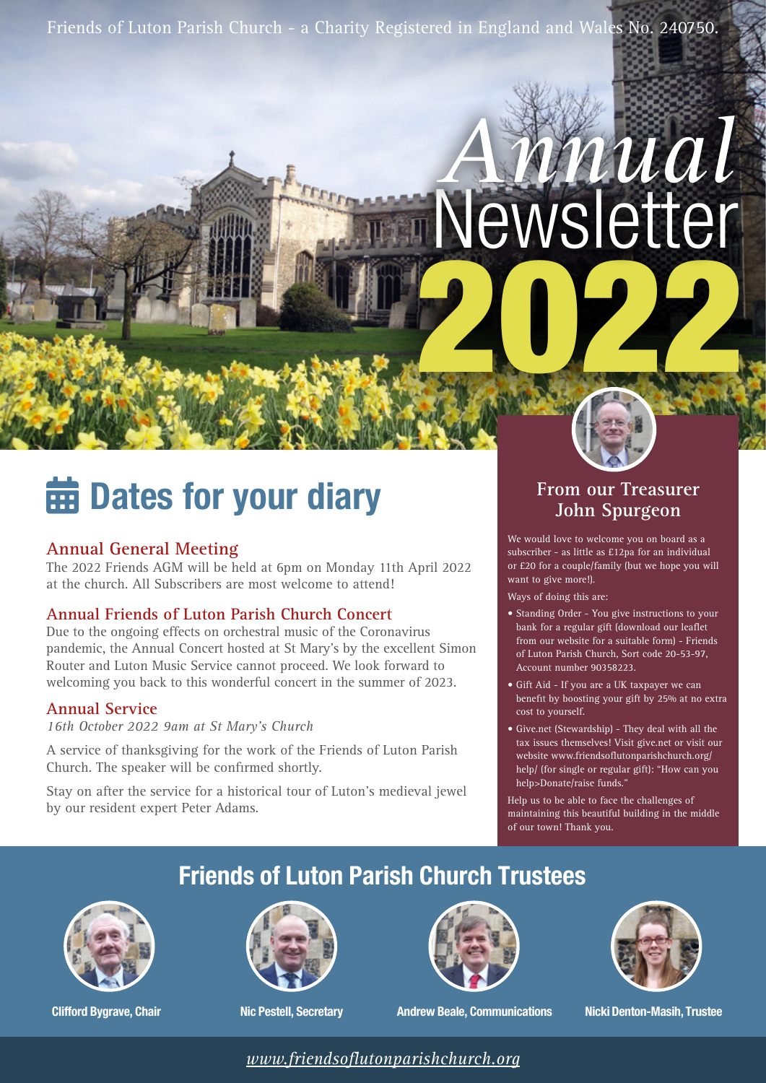Friends of Luton Parish Church - a Charity Registered in England and Wales No. 240750.

# 2022 Newsletter *Annual*

## **findary** Dates for your diary

## **Annual General Meeting**

The 2022 Friends AGM will be held at 6pm on Monday 11th April 2022 at the church. All Subscribers are most welcome to attend!

### **Annual Friends of Luton Parish Church Concert**

Due to the ongoing effects on orchestral music of the Coronavirus pandemic, the Annual Concert hosted at St Mary's by the excellent Simon Router and Luton Music Service cannot proceed. We look forward to welcoming you back to this wonderful concert in the summer of 2023.

### **Annual Service**

*16th October 2022 9am at St Mary's Church*

A service of thanksgiving for the work of the Friends of Luton Parish Church. The speaker will be confirmed shortly.

Stay on after the service for a historical tour of Luton's medieval jewel by our resident expert Peter Adams.

## **From our Treasurer John Spurgeon**

We would love to welcome you on board as a subscriber - as little as £12pa for an individual or £20 for a couple/family (but we hope you will want to give more!).

Ways of doing this are:

- Standing Order You give instructions to your bank for a regular gift (download our leaflet from our website for a suitable form) - Friends of Luton Parish Church, Sort code 20-53-97, Account number 90358223.
- Gift Aid If you are a UK taxpayer we can benefit by boosting your gift by 25% at no extra cost to yourself.
- Give.net (Stewardship) They deal with all the tax issues themselves! Visit give.net or visit our website www.friendsoflutonparishchurch.org/ help/ (for single or regular gift): "How can you help>Donate/raise funds."
- Help us to be able to face the challenges of maintaining this beautiful building in the middle of our town! Thank you.

## **Friends of Luton Parish Church Trustees**



**Clifford Bygrave, Chair**







**Nic Pestell, Secretary Andrew Beale, Communications Nicki Denton-Masih, Trustee**

*[www.friendsoflutonparishchurch.org](https://www.friendsoflutonparishchurch.org)*